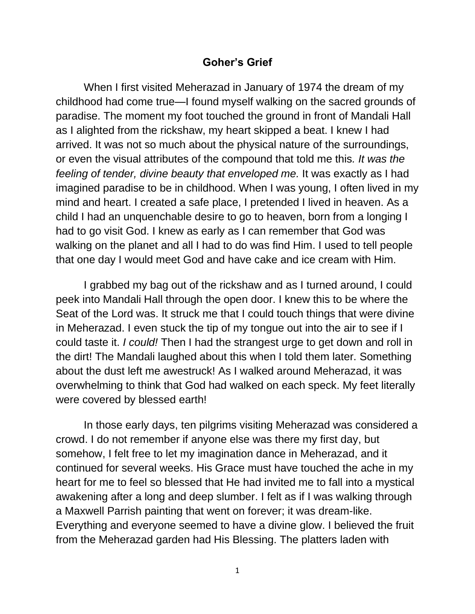## **Goher's Grief**

When I first visited Meherazad in January of 1974 the dream of my childhood had come true—I found myself walking on the sacred grounds of paradise. The moment my foot touched the ground in front of Mandali Hall as I alighted from the rickshaw, my heart skipped a beat. I knew I had arrived. It was not so much about the physical nature of the surroundings, or even the visual attributes of the compound that told me this*. It was the feeling of tender, divine beauty that enveloped me.* It was exactly as I had imagined paradise to be in childhood. When I was young, I often lived in my mind and heart. I created a safe place, I pretended I lived in heaven. As a child I had an unquenchable desire to go to heaven, born from a longing I had to go visit God. I knew as early as I can remember that God was walking on the planet and all I had to do was find Him. I used to tell people that one day I would meet God and have cake and ice cream with Him.

I grabbed my bag out of the rickshaw and as I turned around, I could peek into Mandali Hall through the open door. I knew this to be where the Seat of the Lord was. It struck me that I could touch things that were divine in Meherazad. I even stuck the tip of my tongue out into the air to see if I could taste it. *I could!* Then I had the strangest urge to get down and roll in the dirt! The Mandali laughed about this when I told them later. Something about the dust left me awestruck! As I walked around Meherazad, it was overwhelming to think that God had walked on each speck. My feet literally were covered by blessed earth!

In those early days, ten pilgrims visiting Meherazad was considered a crowd. I do not remember if anyone else was there my first day, but somehow, I felt free to let my imagination dance in Meherazad, and it continued for several weeks. His Grace must have touched the ache in my heart for me to feel so blessed that He had invited me to fall into a mystical awakening after a long and deep slumber. I felt as if I was walking through a Maxwell Parrish painting that went on forever; it was dream-like. Everything and everyone seemed to have a divine glow. I believed the fruit from the Meherazad garden had His Blessing. The platters laden with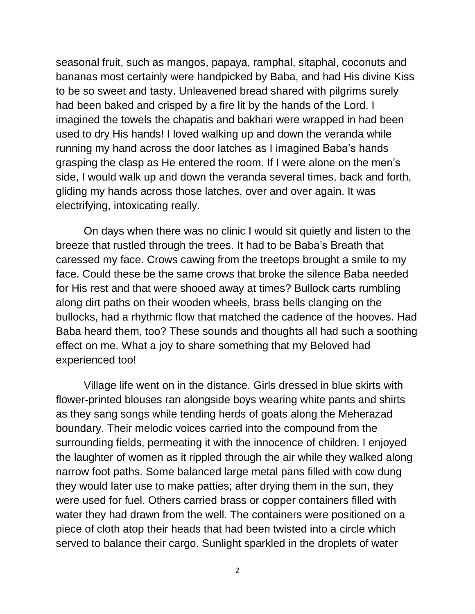seasonal fruit, such as mangos, papaya, ramphal, sitaphal, coconuts and bananas most certainly were handpicked by Baba, and had His divine Kiss to be so sweet and tasty. Unleavened bread shared with pilgrims surely had been baked and crisped by a fire lit by the hands of the Lord. I imagined the towels the chapatis and bakhari were wrapped in had been used to dry His hands! I loved walking up and down the veranda while running my hand across the door latches as I imagined Baba's hands grasping the clasp as He entered the room. If I were alone on the men's side, I would walk up and down the veranda several times, back and forth, gliding my hands across those latches, over and over again. It was electrifying, intoxicating really.

On days when there was no clinic I would sit quietly and listen to the breeze that rustled through the trees. It had to be Baba's Breath that caressed my face. Crows cawing from the treetops brought a smile to my face. Could these be the same crows that broke the silence Baba needed for His rest and that were shooed away at times? Bullock carts rumbling along dirt paths on their wooden wheels, brass bells clanging on the bullocks, had a rhythmic flow that matched the cadence of the hooves. Had Baba heard them, too? These sounds and thoughts all had such a soothing effect on me. What a joy to share something that my Beloved had experienced too!

Village life went on in the distance. Girls dressed in blue skirts with flower-printed blouses ran alongside boys wearing white pants and shirts as they sang songs while tending herds of goats along the Meherazad boundary. Their melodic voices carried into the compound from the surrounding fields, permeating it with the innocence of children. I enjoyed the laughter of women as it rippled through the air while they walked along narrow foot paths. Some balanced large metal pans filled with cow dung they would later use to make patties; after drying them in the sun, they were used for fuel. Others carried brass or copper containers filled with water they had drawn from the well. The containers were positioned on a piece of cloth atop their heads that had been twisted into a circle which served to balance their cargo. Sunlight sparkled in the droplets of water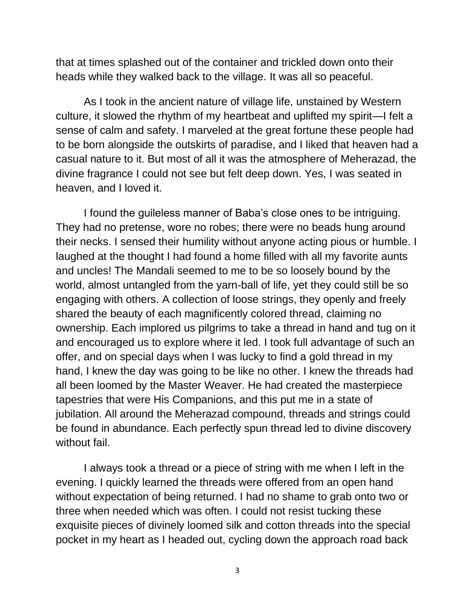that at times splashed out of the container and trickled down onto their heads while they walked back to the village. It was all so peaceful.

As I took in the ancient nature of village life, unstained by Western culture, it slowed the rhythm of my heartbeat and uplifted my spirit—I felt a sense of calm and safety. I marveled at the great fortune these people had to be born alongside the outskirts of paradise, and I liked that heaven had a casual nature to it. But most of all it was the atmosphere of Meherazad, the divine fragrance I could not see but felt deep down. Yes, I was seated in heaven, and I loved it.

I found the guileless manner of Baba's close ones to be intriguing. They had no pretense, wore no robes; there were no beads hung around their necks. I sensed their humility without anyone acting pious or humble. I laughed at the thought I had found a home filled with all my favorite aunts and uncles! The Mandali seemed to me to be so loosely bound by the world, almost untangled from the yarn-ball of life, yet they could still be so engaging with others. A collection of loose strings, they openly and freely shared the beauty of each magnificently colored thread, claiming no ownership. Each implored us pilgrims to take a thread in hand and tug on it and encouraged us to explore where it led. I took full advantage of such an offer, and on special days when I was lucky to find a gold thread in my hand, I knew the day was going to be like no other. I knew the threads had all been loomed by the Master Weaver. He had created the masterpiece tapestries that were His Companions, and this put me in a state of jubilation. All around the Meherazad compound, threads and strings could be found in abundance. Each perfectly spun thread led to divine discovery without fail.

I always took a thread or a piece of string with me when I left in the evening. I quickly learned the threads were offered from an open hand without expectation of being returned. I had no shame to grab onto two or three when needed which was often. I could not resist tucking these exquisite pieces of divinely loomed silk and cotton threads into the special pocket in my heart as I headed out, cycling down the approach road back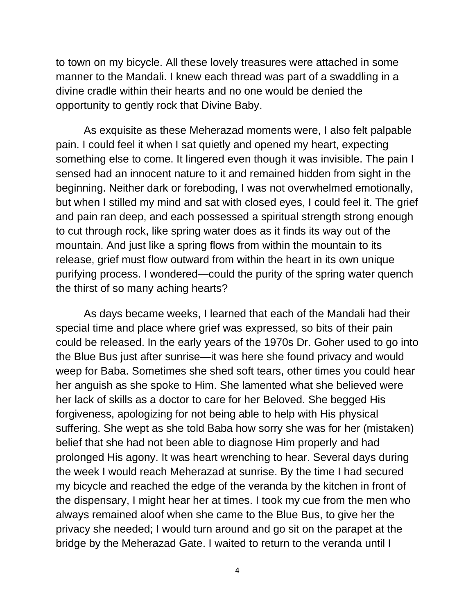to town on my bicycle. All these lovely treasures were attached in some manner to the Mandali. I knew each thread was part of a swaddling in a divine cradle within their hearts and no one would be denied the opportunity to gently rock that Divine Baby.

As exquisite as these Meherazad moments were, I also felt palpable pain. I could feel it when I sat quietly and opened my heart, expecting something else to come. It lingered even though it was invisible. The pain I sensed had an innocent nature to it and remained hidden from sight in the beginning. Neither dark or foreboding, I was not overwhelmed emotionally, but when I stilled my mind and sat with closed eyes, I could feel it. The grief and pain ran deep, and each possessed a spiritual strength strong enough to cut through rock, like spring water does as it finds its way out of the mountain. And just like a spring flows from within the mountain to its release, grief must flow outward from within the heart in its own unique purifying process. I wondered—could the purity of the spring water quench the thirst of so many aching hearts?

As days became weeks, I learned that each of the Mandali had their special time and place where grief was expressed, so bits of their pain could be released. In the early years of the 1970s Dr. Goher used to go into the Blue Bus just after sunrise—it was here she found privacy and would weep for Baba. Sometimes she shed soft tears, other times you could hear her anguish as she spoke to Him. She lamented what she believed were her lack of skills as a doctor to care for her Beloved. She begged His forgiveness, apologizing for not being able to help with His physical suffering. She wept as she told Baba how sorry she was for her (mistaken) belief that she had not been able to diagnose Him properly and had prolonged His agony. It was heart wrenching to hear. Several days during the week I would reach Meherazad at sunrise. By the time I had secured my bicycle and reached the edge of the veranda by the kitchen in front of the dispensary, I might hear her at times. I took my cue from the men who always remained aloof when she came to the Blue Bus, to give her the privacy she needed; I would turn around and go sit on the parapet at the bridge by the Meherazad Gate. I waited to return to the veranda until I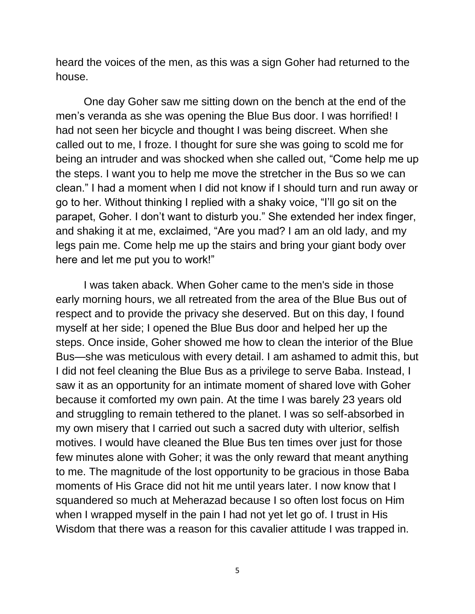heard the voices of the men, as this was a sign Goher had returned to the house.

One day Goher saw me sitting down on the bench at the end of the men's veranda as she was opening the Blue Bus door. I was horrified! I had not seen her bicycle and thought I was being discreet. When she called out to me, I froze. I thought for sure she was going to scold me for being an intruder and was shocked when she called out, "Come help me up the steps. I want you to help me move the stretcher in the Bus so we can clean." I had a moment when I did not know if I should turn and run away or go to her. Without thinking I replied with a shaky voice, "I'll go sit on the parapet, Goher. I don't want to disturb you." She extended her index finger, and shaking it at me, exclaimed, "Are you mad? I am an old lady, and my legs pain me. Come help me up the stairs and bring your giant body over here and let me put you to work!"

I was taken aback. When Goher came to the men's side in those early morning hours, we all retreated from the area of the Blue Bus out of respect and to provide the privacy she deserved. But on this day, I found myself at her side; I opened the Blue Bus door and helped her up the steps. Once inside, Goher showed me how to clean the interior of the Blue Bus—she was meticulous with every detail. I am ashamed to admit this, but I did not feel cleaning the Blue Bus as a privilege to serve Baba. Instead, I saw it as an opportunity for an intimate moment of shared love with Goher because it comforted my own pain. At the time I was barely 23 years old and struggling to remain tethered to the planet. I was so self-absorbed in my own misery that I carried out such a sacred duty with ulterior, selfish motives. I would have cleaned the Blue Bus ten times over just for those few minutes alone with Goher; it was the only reward that meant anything to me. The magnitude of the lost opportunity to be gracious in those Baba moments of His Grace did not hit me until years later. I now know that I squandered so much at Meherazad because I so often lost focus on Him when I wrapped myself in the pain I had not yet let go of. I trust in His Wisdom that there was a reason for this cavalier attitude I was trapped in.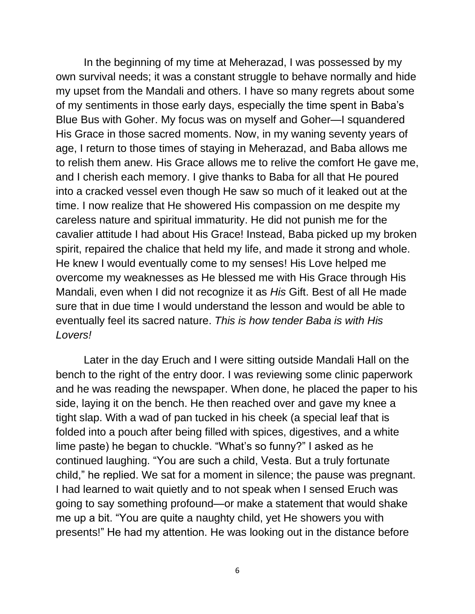In the beginning of my time at Meherazad, I was possessed by my own survival needs; it was a constant struggle to behave normally and hide my upset from the Mandali and others. I have so many regrets about some of my sentiments in those early days, especially the time spent in Baba's Blue Bus with Goher. My focus was on myself and Goher—I squandered His Grace in those sacred moments. Now, in my waning seventy years of age, I return to those times of staying in Meherazad, and Baba allows me to relish them anew. His Grace allows me to relive the comfort He gave me, and I cherish each memory. I give thanks to Baba for all that He poured into a cracked vessel even though He saw so much of it leaked out at the time. I now realize that He showered His compassion on me despite my careless nature and spiritual immaturity. He did not punish me for the cavalier attitude I had about His Grace! Instead, Baba picked up my broken spirit, repaired the chalice that held my life, and made it strong and whole. He knew I would eventually come to my senses! His Love helped me overcome my weaknesses as He blessed me with His Grace through His Mandali, even when I did not recognize it as *His* Gift. Best of all He made sure that in due time I would understand the lesson and would be able to eventually feel its sacred nature. *This is how tender Baba is with His Lovers!*

Later in the day Eruch and I were sitting outside Mandali Hall on the bench to the right of the entry door. I was reviewing some clinic paperwork and he was reading the newspaper. When done, he placed the paper to his side, laying it on the bench. He then reached over and gave my knee a tight slap. With a wad of pan tucked in his cheek (a special leaf that is folded into a pouch after being filled with spices, digestives, and a white lime paste) he began to chuckle. "What's so funny?" I asked as he continued laughing. "You are such a child, Vesta. But a truly fortunate child," he replied. We sat for a moment in silence; the pause was pregnant. I had learned to wait quietly and to not speak when I sensed Eruch was going to say something profound—or make a statement that would shake me up a bit. "You are quite a naughty child, yet He showers you with presents!" He had my attention. He was looking out in the distance before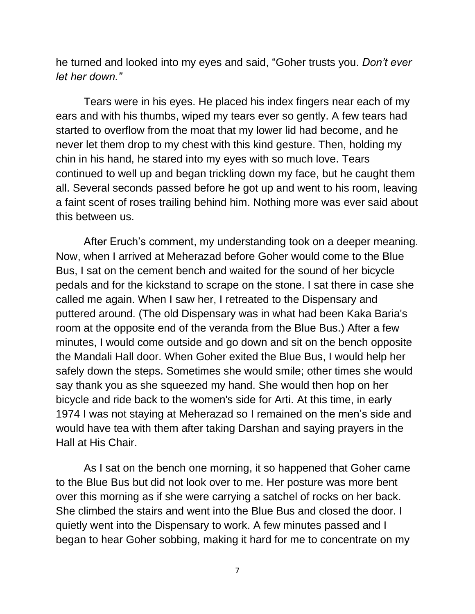he turned and looked into my eyes and said, "Goher trusts you. *Don't ever let her down."*

Tears were in his eyes. He placed his index fingers near each of my ears and with his thumbs, wiped my tears ever so gently. A few tears had started to overflow from the moat that my lower lid had become, and he never let them drop to my chest with this kind gesture. Then, holding my chin in his hand, he stared into my eyes with so much love. Tears continued to well up and began trickling down my face, but he caught them all. Several seconds passed before he got up and went to his room, leaving a faint scent of roses trailing behind him. Nothing more was ever said about this between us.

After Eruch's comment, my understanding took on a deeper meaning. Now, when I arrived at Meherazad before Goher would come to the Blue Bus, I sat on the cement bench and waited for the sound of her bicycle pedals and for the kickstand to scrape on the stone. I sat there in case she called me again. When I saw her, I retreated to the Dispensary and puttered around. (The old Dispensary was in what had been Kaka Baria's room at the opposite end of the veranda from the Blue Bus.) After a few minutes, I would come outside and go down and sit on the bench opposite the Mandali Hall door. When Goher exited the Blue Bus, I would help her safely down the steps. Sometimes she would smile; other times she would say thank you as she squeezed my hand. She would then hop on her bicycle and ride back to the women's side for Arti. At this time, in early 1974 I was not staying at Meherazad so I remained on the men's side and would have tea with them after taking Darshan and saying prayers in the Hall at His Chair.

As I sat on the bench one morning, it so happened that Goher came to the Blue Bus but did not look over to me. Her posture was more bent over this morning as if she were carrying a satchel of rocks on her back. She climbed the stairs and went into the Blue Bus and closed the door. I quietly went into the Dispensary to work. A few minutes passed and I began to hear Goher sobbing, making it hard for me to concentrate on my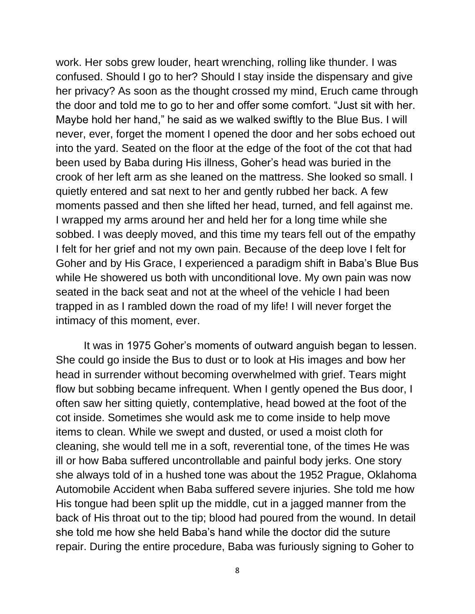work. Her sobs grew louder, heart wrenching, rolling like thunder. I was confused. Should I go to her? Should I stay inside the dispensary and give her privacy? As soon as the thought crossed my mind, Eruch came through the door and told me to go to her and offer some comfort. "Just sit with her. Maybe hold her hand," he said as we walked swiftly to the Blue Bus. I will never, ever, forget the moment I opened the door and her sobs echoed out into the yard. Seated on the floor at the edge of the foot of the cot that had been used by Baba during His illness, Goher's head was buried in the crook of her left arm as she leaned on the mattress. She looked so small. I quietly entered and sat next to her and gently rubbed her back. A few moments passed and then she lifted her head, turned, and fell against me. I wrapped my arms around her and held her for a long time while she sobbed. I was deeply moved, and this time my tears fell out of the empathy I felt for her grief and not my own pain. Because of the deep love I felt for Goher and by His Grace, I experienced a paradigm shift in Baba's Blue Bus while He showered us both with unconditional love. My own pain was now seated in the back seat and not at the wheel of the vehicle I had been trapped in as I rambled down the road of my life! I will never forget the intimacy of this moment, ever.

It was in 1975 Goher's moments of outward anguish began to lessen. She could go inside the Bus to dust or to look at His images and bow her head in surrender without becoming overwhelmed with grief. Tears might flow but sobbing became infrequent. When I gently opened the Bus door, I often saw her sitting quietly, contemplative, head bowed at the foot of the cot inside. Sometimes she would ask me to come inside to help move items to clean. While we swept and dusted, or used a moist cloth for cleaning, she would tell me in a soft, reverential tone, of the times He was ill or how Baba suffered uncontrollable and painful body jerks. One story she always told of in a hushed tone was about the 1952 Prague, Oklahoma Automobile Accident when Baba suffered severe injuries. She told me how His tongue had been split up the middle, cut in a jagged manner from the back of His throat out to the tip; blood had poured from the wound. In detail she told me how she held Baba's hand while the doctor did the suture repair. During the entire procedure, Baba was furiously signing to Goher to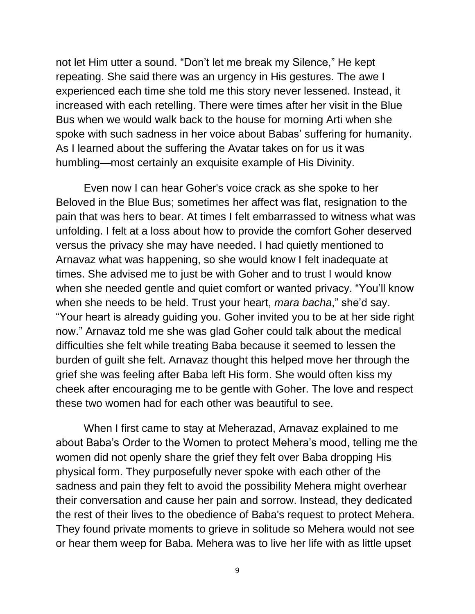not let Him utter a sound. "Don't let me break my Silence," He kept repeating. She said there was an urgency in His gestures. The awe I experienced each time she told me this story never lessened. Instead, it increased with each retelling. There were times after her visit in the Blue Bus when we would walk back to the house for morning Arti when she spoke with such sadness in her voice about Babas' suffering for humanity. As I learned about the suffering the Avatar takes on for us it was humbling—most certainly an exquisite example of His Divinity.

Even now I can hear Goher's voice crack as she spoke to her Beloved in the Blue Bus; sometimes her affect was flat, resignation to the pain that was hers to bear. At times I felt embarrassed to witness what was unfolding. I felt at a loss about how to provide the comfort Goher deserved versus the privacy she may have needed. I had quietly mentioned to Arnavaz what was happening, so she would know I felt inadequate at times. She advised me to just be with Goher and to trust I would know when she needed gentle and quiet comfort or wanted privacy. "You'll know when she needs to be held. Trust your heart, *mara bacha*," she'd say. "Your heart is already guiding you. Goher invited you to be at her side right now." Arnavaz told me she was glad Goher could talk about the medical difficulties she felt while treating Baba because it seemed to lessen the burden of guilt she felt. Arnavaz thought this helped move her through the grief she was feeling after Baba left His form. She would often kiss my cheek after encouraging me to be gentle with Goher. The love and respect these two women had for each other was beautiful to see.

When I first came to stay at Meherazad, Arnavaz explained to me about Baba's Order to the Women to protect Mehera's mood, telling me the women did not openly share the grief they felt over Baba dropping His physical form. They purposefully never spoke with each other of the sadness and pain they felt to avoid the possibility Mehera might overhear their conversation and cause her pain and sorrow. Instead, they dedicated the rest of their lives to the obedience of Baba's request to protect Mehera. They found private moments to grieve in solitude so Mehera would not see or hear them weep for Baba. Mehera was to live her life with as little upset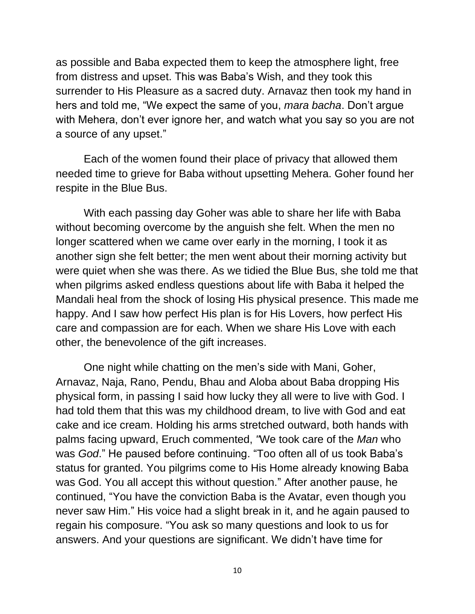as possible and Baba expected them to keep the atmosphere light, free from distress and upset. This was Baba's Wish, and they took this surrender to His Pleasure as a sacred duty. Arnavaz then took my hand in hers and told me, "We expect the same of you, *mara bacha*. Don't argue with Mehera, don't ever ignore her, and watch what you say so you are not a source of any upset."

Each of the women found their place of privacy that allowed them needed time to grieve for Baba without upsetting Mehera. Goher found her respite in the Blue Bus.

With each passing day Goher was able to share her life with Baba without becoming overcome by the anguish she felt. When the men no longer scattered when we came over early in the morning, I took it as another sign she felt better; the men went about their morning activity but were quiet when she was there. As we tidied the Blue Bus, she told me that when pilgrims asked endless questions about life with Baba it helped the Mandali heal from the shock of losing His physical presence. This made me happy. And I saw how perfect His plan is for His Lovers, how perfect His care and compassion are for each. When we share His Love with each other, the benevolence of the gift increases.

One night while chatting on the men's side with Mani, Goher, Arnavaz, Naja, Rano, Pendu, Bhau and Aloba about Baba dropping His physical form, in passing I said how lucky they all were to live with God. I had told them that this was my childhood dream, to live with God and eat cake and ice cream. Holding his arms stretched outward, both hands with palms facing upward, Eruch commented, *"*We took care of the *Man* who was *God*." He paused before continuing. "Too often all of us took Baba's status for granted. You pilgrims come to His Home already knowing Baba was God. You all accept this without question." After another pause, he continued, "You have the conviction Baba is the Avatar, even though you never saw Him." His voice had a slight break in it, and he again paused to regain his composure. "You ask so many questions and look to us for answers. And your questions are significant. We didn't have time for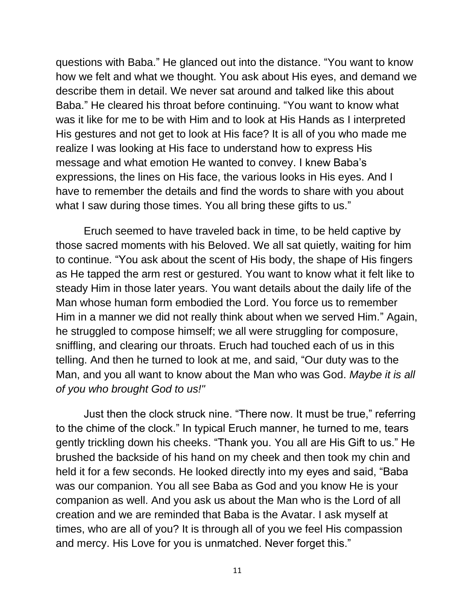questions with Baba." He glanced out into the distance. "You want to know how we felt and what we thought. You ask about His eyes, and demand we describe them in detail. We never sat around and talked like this about Baba." He cleared his throat before continuing. "You want to know what was it like for me to be with Him and to look at His Hands as I interpreted His gestures and not get to look at His face? It is all of you who made me realize I was looking at His face to understand how to express His message and what emotion He wanted to convey. I knew Baba's expressions, the lines on His face, the various looks in His eyes. And I have to remember the details and find the words to share with you about what I saw during those times. You all bring these gifts to us."

Eruch seemed to have traveled back in time, to be held captive by those sacred moments with his Beloved. We all sat quietly, waiting for him to continue. "You ask about the scent of His body, the shape of His fingers as He tapped the arm rest or gestured. You want to know what it felt like to steady Him in those later years. You want details about the daily life of the Man whose human form embodied the Lord. You force us to remember Him in a manner we did not really think about when we served Him." Again, he struggled to compose himself; we all were struggling for composure, sniffling, and clearing our throats. Eruch had touched each of us in this telling. And then he turned to look at me, and said, "Our duty was to the Man, and you all want to know about the Man who was God. *Maybe it is all of you who brought God to us!"* 

Just then the clock struck nine. "There now. It must be true," referring to the chime of the clock." In typical Eruch manner, he turned to me, tears gently trickling down his cheeks. "Thank you. You all are His Gift to us." He brushed the backside of his hand on my cheek and then took my chin and held it for a few seconds. He looked directly into my eyes and said, "Baba was our companion. You all see Baba as God and you know He is your companion as well. And you ask us about the Man who is the Lord of all creation and we are reminded that Baba is the Avatar. I ask myself at times, who are all of you? It is through all of you we feel His compassion and mercy. His Love for you is unmatched. Never forget this."